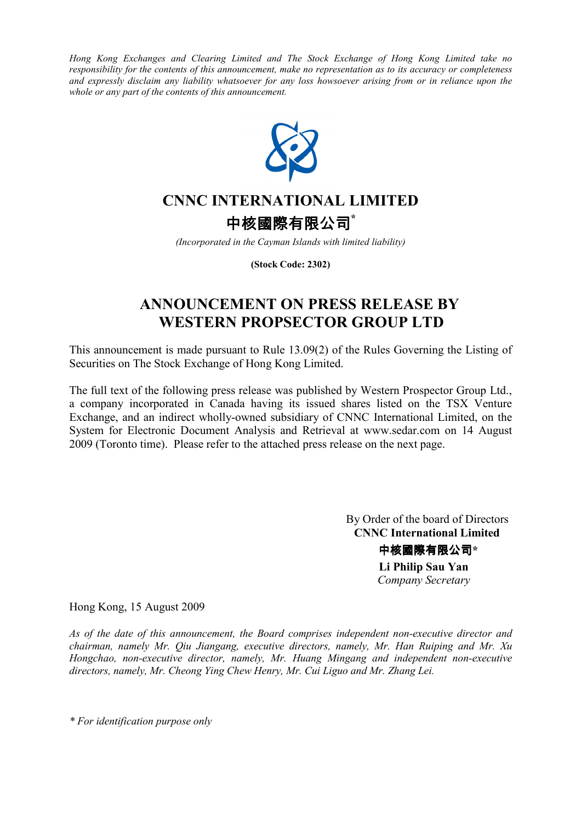*Hong Kong Exchanges and Clearing Limited and The Stock Exchange of Hong Kong Limited take no responsibility for the contents of this announcement, make no representation as to its accuracy or completeness and expressly disclaim any liability whatsoever for any loss howsoever arising from or in reliance upon the whole or any part of the contents of this announcement.* 



# **CNNC INTERNATIONAL LIMITED**

中核國際有限公司**\***

*(Incorporated in the Cayman Islands with limited liability)*

**(Stock Code: 2302)**

## **ANNOUNCEMENT ON PRESS RELEASE BY WESTERN PROPSECTOR GROUP LTD**

This announcement is made pursuant to Rule 13.09(2) of the Rules Governing the Listing of Securities on The Stock Exchange of Hong Kong Limited.

The full text of the following press release was published by Western Prospector Group Ltd., a company incorporated in Canada having its issued shares listed on the TSX Venture Exchange, and an indirect wholly-owned subsidiary of CNNC International Limited, on the System for Electronic Document Analysis and Retrieval at www.sedar.com on 14 August 2009 (Toronto time). Please refer to the attached press release on the next page.

> By Order of the board of Directors  **CNNC International Limited** 中核國際有限公司**\* Li Philip Sau Yan**   *Company Secretary*

Hong Kong, 15 August 2009

*As of the date of this announcement, the Board comprises independent non-executive director and chairman, namely Mr. Qiu Jiangang, executive directors, namely, Mr. Han Ruiping and Mr. Xu Hongchao, non-executive director, namely, Mr. Huang Mingang and independent non-executive directors, namely, Mr. Cheong Ying Chew Henry, Mr. Cui Liguo and Mr. Zhang Lei.* 

*\* For identification purpose only*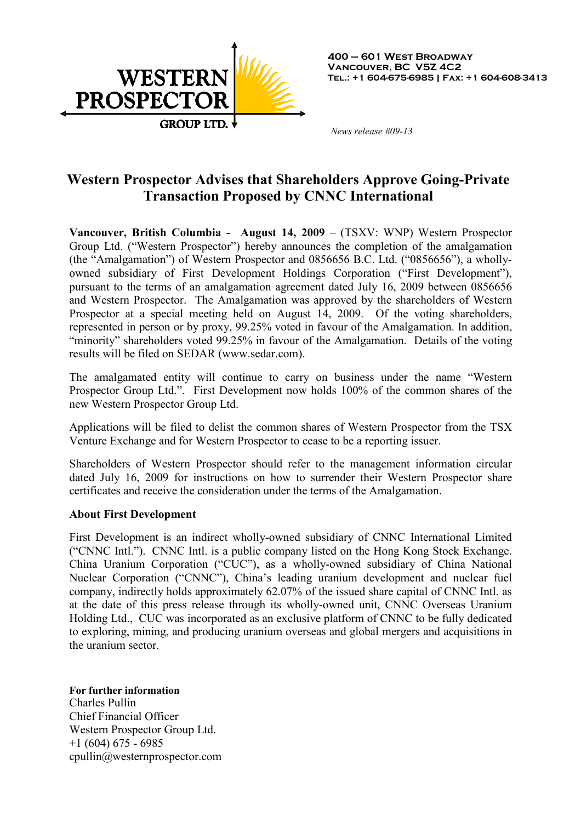

 *News release #09-13* 

## **Western Prospector Advises that Shareholders Approve Going-Private Transaction Proposed by CNNC International**

**Vancouver, British Columbia - August 14, 2009** – (TSXV: WNP) Western Prospector Group Ltd. ("Western Prospector") hereby announces the completion of the amalgamation (the "Amalgamation") of Western Prospector and 0856656 B.C. Ltd. ("0856656"), a whollyowned subsidiary of First Development Holdings Corporation ("First Development"), pursuant to the terms of an amalgamation agreement dated July 16, 2009 between 0856656 and Western Prospector. The Amalgamation was approved by the shareholders of Western Prospector at a special meeting held on August 14, 2009. Of the voting shareholders, represented in person or by proxy, 99.25% voted in favour of the Amalgamation. In addition, "minority" shareholders voted 99.25% in favour of the Amalgamation. Details of the voting results will be filed on SEDAR (www.sedar.com).

The amalgamated entity will continue to carry on business under the name "Western Prospector Group Ltd.". First Development now holds 100% of the common shares of the new Western Prospector Group Ltd.

Applications will be filed to delist the common shares of Western Prospector from the TSX Venture Exchange and for Western Prospector to cease to be a reporting issuer.

Shareholders of Western Prospector should refer to the management information circular dated July 16, 2009 for instructions on how to surrender their Western Prospector share certificates and receive the consideration under the terms of the Amalgamation.

### **About First Development**

First Development is an indirect wholly-owned subsidiary of CNNC International Limited ("CNNC Intl."). CNNC Intl. is a public company listed on the Hong Kong Stock Exchange. China Uranium Corporation ("CUC"), as a wholly-owned subsidiary of China National Nuclear Corporation ("CNNC"), China's leading uranium development and nuclear fuel company, indirectly holds approximately 62.07% of the issued share capital of CNNC Intl. as at the date of this press release through its wholly-owned unit, CNNC Overseas Uranium Holding Ltd., CUC was incorporated as an exclusive platform of CNNC to be fully dedicated to exploring, mining, and producing uranium overseas and global mergers and acquisitions in the uranium sector.

### **For further information**

Charles Pullin Chief Financial Officer Western Prospector Group Ltd.  $+1$  (604) 675 - 6985 cpullin@westernprospector.com